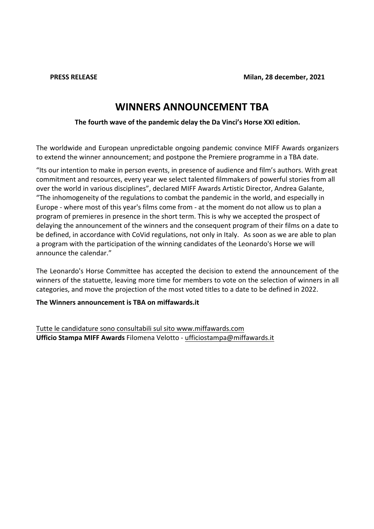**PRESS RELEASE** 

# **WINNERS ANNOUNCEMENT TBA**

The fourth wave of the pandemic delay the Da Vinci's Horse XXI edition.

The worldwide and European unpredictable ongoing pandemic convince MIFF Awards organizers to extend the winner announcement; and postpone the Premiere programme in a TBA date.

"Its our intention to make in person events, in presence of audience and film's authors. With great commitment and resources, every year we select talented filmmakers of powerful stories from all over the world in various disciplines", declared MIFF Awards Artistic Director, Andrea Galante, "The inhomogeneity of the regulations to combat the pandemic in the world, and especially in Europe - where most of this year's films come from - at the moment do not allow us to plan a program of premieres in presence in the short term. This is why we accepted the prospect of delaying the announcement of the winners and the consequent program of their films on a date to be defined, in accordance with CoVid regulations, not only in Italy. As soon as we are able to plan a program with the participation of the winning candidates of the Leonardo's Horse we will announce the calendar."

The Leonardo's Horse Committee has accepted the decision to extend the announcement of the winners of the statuette, leaving more time for members to vote on the selection of winners in all categories, and move the projection of the most voted titles to a date to be defined in 2022.

The Winners announcement is TBA on miffawards.it

Tutte le candidature sono consultabili sul sito www.miffawards.com Ufficio Stampa MIFF Awards Filomena Velotto - ufficiostampa@miffawards.it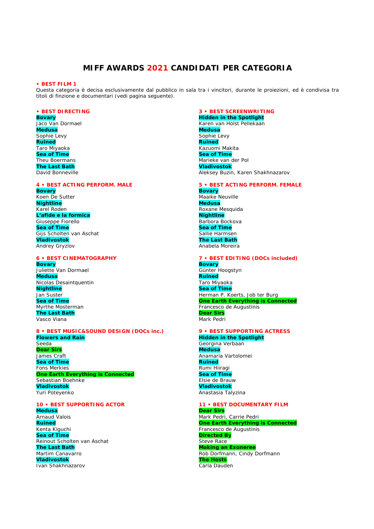# **MIFF AWARDS 2021 CANDIDATI PER CATEGORIA**

#### **• BEST FILM 1**

Questa categoria è decisa esclusivamente dal pubblico in sala tra i vincitori, durante le proiezioni, ed è condivisa tra titoli di finzione e documentari (vedi pagina seguente).

#### **• BEST DIRECTING**

**Bovary**  Jaco Van Dormael **Medusa**  Sophie Levy **Ruined**  Taro Miyaoka **Sea of Time**  Theu Boermans **The Last Bath**  David Bonneville

# **4 • BEST ACTING PERFORM. MALE**

**Bovary**  Koen De Sutter **Nightline**  Karel Roden **L'afide e la formica**  Giuseppe Fiorello **Sea of Time**  Gijs Scholten van Aschat **Vladivostok**  Andrey Gryzlov

# **6 • BEST CINEMATOGRAPHY**

**Bovary**  Juliette Van Dormael **Medusa**  Nicolas Desaintquentin **Nightline**  Jan Suster **Sea of Time**  Myrthe Mosterman **The Last Bath**  Vasco Viana

#### **8 • BEST MUSIC&SOUND DESIGN (DOCs inc.) Flowers and Rain**  Seeda **Dear Sirs**  James Craft **Sea of Time**  Fons Merkies

**One Earth Everything is Connected** Sebastian Boehnke **Vladivostok** Yuri Poteyenko

# **10 • BEST SUPPORTING ACTOR**

**Medusa Arnaud Valois Ruined**  Kenta Kiguchi **Sea of Time**  Reinout Scholten van Aschat **The Last Bath**  Martim Canavarro **Vladivostok**  Ivan Shakhnazarov

# **3 • BEST SCREENWRITING**

**Hidden in the Spotlight**  Karen van Holst Pellekaan **Medusa**  Sophie Levy **Ruined**  Kazuomi Makita **Sea of Time**  Marieke van der Pol **Vladivostok**  Aleksey Buzin, Karen Shakhnazarov

#### **5 • BEST ACTING PERFORM. FEMALE Bovary**

Maaike Neuville **Medusa**  Roxane Mesquida **Nightline**  Barbora Bockova **Sea of Time**  Sallie Harmsen **The Last Bath**  Anabela Moreira

#### **7 • BEST EDITING (DOCs included) Bovary**  Günter Hoogstyn

**Ruined**  Taro Miyaoka **Sea of Time**  Herman P. Koerts, Job ter Burg **One Earth Everything is Connected** Francesco de Augustinis **Dear Sirs**  Mark Pedri

#### **9 • BEST SUPPORTING ACTRESS Hidden in the Spotlight**

Georgina Verbaan **Medusa**  Anamaria Vartolomei **Ruined**  Rumi Hiiragi **Sea of Time**  Elsie de Brauw **Vladivostok** Anastasia Talyzina

# **11 • BEST DOCUMENTARY FILM**

**Dear Sirs**  Mark Pedri, Carrie Pedri **One Earth Everything is Connected**  Francesco de Augustinis **Directed By**  Steve Race **Making an Exoneree**  Rob Dorfmann, Cindy Dorfmann **The Hosts**  Carla Dauden